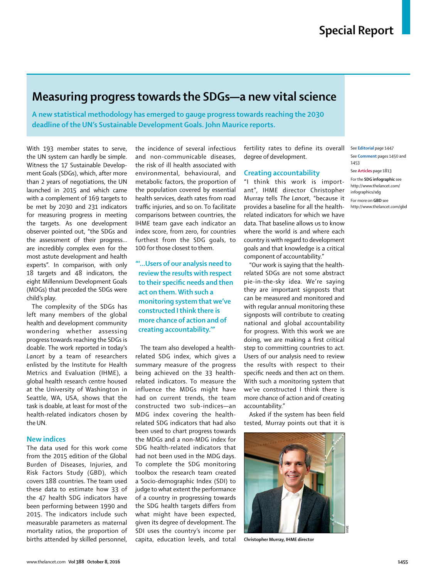# **Measuring progress towards the SDGs—a new vital science**

**A new statistical methodology has emerged to gauge progress towards reaching the 2030 deadline of the UN's Sustainable Development Goals. John Maurice reports.**

With 193 member states to serve, the UN system can hardly be simple. Witness the 17 Sustainable Development Goals (SDGs), which, after more than 2 years of negotiations, the UN launched in 2015 and which came with a complement of 169 targets to be met by 2030 and 231 indicators for measuring progress in meeting the targets. As one development observer pointed out, "the SDGs and the assessment of their progress… are incredibly complex even for the most astute development and health experts". In comparison, with only 18 targets and 48 indicators, the eight Millennium Development Goals (MDGs) that preceded the SDGs were child's play.

The complexity of the SDGs has left many members of the global health and development community wondering whether assessing progress towards reaching the SDGs is doable. The work reported in today's *Lancet* by a team of researchers enlisted by the Institute for Health Metrics and Evaluation (IHME), a global health research centre housed at the University of Washington in Seattle, WA, USA, shows that the task is doable, at least for most of the health-related indicators chosen by the UN.

## **New indices**

The data used for this work come from the 2015 edition of the Global Burden of Diseases, Injuries, and Risk Factors Study (GBD), which covers 188 countries. The team used these data to estimate how 33 of the 47 health SDG indicators have been performing between 1990 and 2015. The indicators include such measurable parameters as maternal mortality ratios, the proportion of births attended by skilled personnel,

the incidence of several infectious and non-communicable diseases, the risk of ill health associated with environmental, behavioural, and metabolic factors, the proportion of the population covered by essential health services, death rates from road traffic injuries, and so on. To facilitate comparisons between countries, the IHME team gave each indicator an index score, from zero, for countries furthest from the SDG goals, to 100 for those closest to them.

**"'...Users of our analysis need to review the results with respect**  to their specific needs and then **act on them. With such a monitoring system that we've constructed I think there is more chance of action and of creating accountability.'"** 

The team also developed a healthrelated SDG index, which gives a summary measure of the progress being achieved on the 33 healthrelated indicators. To measure the influence the MDGs might have had on current trends, the team constructed two sub-indices—an MDG index covering the healthrelated SDG indicators that had also been used to chart progress towards the MDGs and a non-MDG index for SDG health-related indicators that had not been used in the MDG days. To complete the SDG monitoring toolbox the research team created a Socio-demographic Index (SDI) to judge to what extent the performance of a country in progressing towards the SDG health targets differs from what might have been expected, given its degree of development. The SDI uses the country's income per capita, education levels, and total

fertility rates to define its overall degree of development.

#### **Creating accountability**

"I think this work is important", IHME director Christopher Murray tells *The Lancet*, "because it provides a baseline for all the healthrelated indicators for which we have data. That baseline allows us to know where the world is and where each country is with regard to development goals and that knowledge is a critical component of accountability."

"Our work is saying that the healthrelated SDGs are not some abstract pie-in-the-sky idea. We're saying they are important signposts that can be measured and monitored and with regular annual monitoring these signposts will contribute to creating national and global accountability for progress. With this work we are doing, we are making a first critical step to committing countries to act. Users of our analysis need to review the results with respect to their specific needs and then act on them. With such a monitoring system that we've constructed I think there is more chance of action and of creating accountability."

Asked if the system has been field tested, Murray points out that it is



**Christopher Murray, IHME director**

See **Comment** pages 1450 and 1453 See **Articles** page 1813 For the **SDG infographic** see http://www.thelancet.com/ infographics/sdg For more on **GBD** see

http://www.thelancet.com/gbd

See **Editorial** page 1447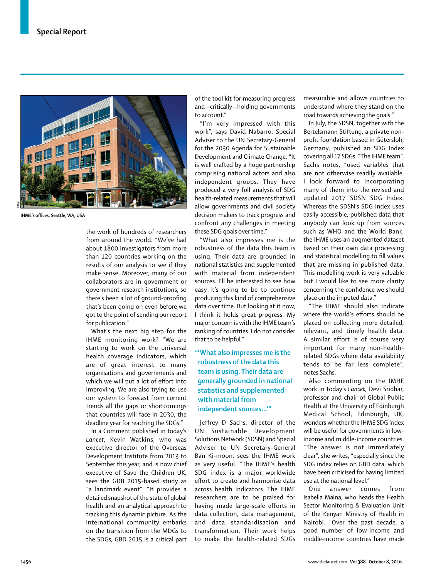

**IHME's offices, Seattle, WA, USA** 

the work of hundreds of researchers from around the world. "We've had about 1800 investigators from more than 120 countries working on the results of our analysis to see if they make sense. Moreover, many of our collaborators are in government or government research institutions, so there's been a lot of ground-proofing that's been going on even before we got to the point of sending our report for publication."

What's the next big step for the IHME monitoring work? "We are starting to work on the universal health coverage indicators, which are of great interest to many organisations and governments and which we will put a lot of effort into improving. We are also trying to use our system to forecast from current trends all the gaps or shortcomings that countries will face in 2030, the deadline year for reaching the SDGs."

In a Comment published in today's *Lancet*, Kevin Watkins, who was executive director of the Overseas Development Institute from 2013 to September this year, and is now chief executive of Save the Children UK, sees the GDB 2015-based study as "a landmark event". "It provides a detailed snapshot of the state of global health and an analytical approach to tracking this dynamic picture. As the international community embarks on the transition from the MDGs to the SDGs, GBD 2015 is a critical part

of the tool kit for measuring progress and—critically—holding governments to account."

"I'm very impressed with this work", says David Nabarro, Special Adviser to the UN Secretary-General for the 2030 Agenda for Sustainable Development and Climate Change. "It is well crafted by a huge partnership comprising national actors and also independent groups. They have produced a very full analysis of SDG health-related measurements that will allow governments and civil society decision makers to track progress and confront any challenges in meeting these SDG goals over time."

"What also impresses me is the robustness of the data this team is using. Their data are grounded in national statistics and supplemented with material from independent sources. I'll be interested to see how easy it's going to be to continue producing this kind of comprehensive data over time. But looking at it now, I think it holds great progress. My major concern is with the IHME team's ranking of countries. I do not consider that to be helpful."

# **"'What also impresses me is the robustness of the data this team is using. Their data are generally grounded in national statistics and supplemented with material from independent sources...'"**

Jeffrey D Sachs, director of the UN Sustainable Development Solutions Network (SDSN) and Special Adviser to UN Secretary-General Ban Ki-moon, sees the IHME work as very useful. "The IHME's health SDG index is a major worldwide effort to create and harmonise data across health indicators. The IHME researchers are to be praised for having made large-scale efforts in data collection, data management, and data standardisation and transformation. Their work helps to make the health-related SDGs

measurable and allows countries to understand where they stand on the road towards achieving the goals."

In July, the SDSN, together with the Bertelsmann Stiftung, a private nonprofit foundation based in Gütersloh, Germany, published an SDG Index covering all 17 SDGs. "The IHME team", Sachs notes, "used variables that are not otherwise readily available. I look forward to incorporating many of them into the revised and updated 2017 SDSN SDG Index. Whereas the SDSN's SDG Index uses easily accessible, published data that anybody can look up from sources such as WHO and the World Bank, the IHME uses an augmented dataset based on their own data processing and statistical modelling to fill values that are missing in published data. This modelling work is very valuable but I would like to see more clarity concerning the confidence we should place on the imputed data."

"The IHME should also indicate where the world's efforts should be placed on collecting more detailed, relevant, and timely health data. A similar effort is of course very important for many non-healthrelated SDGs where data availability tends to be far less complete", notes Sachs.

Also commenting on the IMHE work in today's *Lancet*, Devi Sridhar, professor and chair of Global Public Health at the University of Edinburgh Medical School, Edinburgh, UK, wonders whether the IHME SDG index will be useful for governments in lowincome and middle-income countries. "The answer is not immediately clear", she writes, "especially since the SDG index relies on GBD data, which have been criticised for having limited use at the national level."

One answer comes from Isabella Maina, who heads the Health Sector Monitoring & Evaluation Unit of the Kenyan Ministry of Health in Nairobi. "Over the past decade, a good number of low-income and middle-income countries have made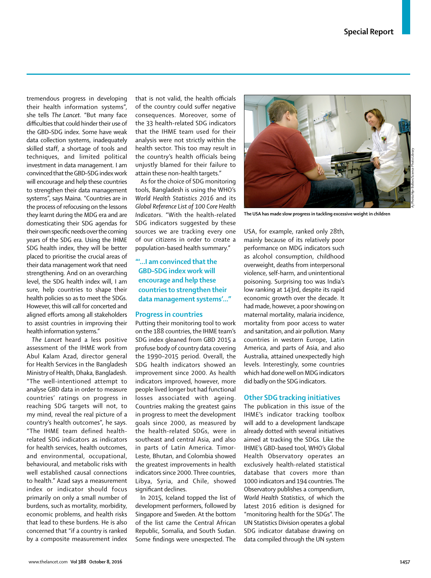tremendous progress in developing their health information systems", she tells *The Lancet*. "But many face difficulties that could hinder their use of the GBD–SDG index. Some have weak data collection systems, inadequately skilled staff, a shortage of tools and techniques, and limited political investment in data management. I am convinced that the GBD–SDG index work will encourage and help these countries to strengthen their data management systems", says Maina. "Countries are in the process of refocusing on the lessons they learnt during the MDG era and are domesticating their SDG agendas for their own specific needs over the coming years of the SDG era. Using the IHME SDG health index, they will be better placed to prioritise the crucial areas of their data management work that need strengthening. And on an overarching level, the SDG health index will, I am sure, help countries to shape their health policies so as to meet the SDGs. However, this will call for concerted and aligned efforts among all stakeholders to assist countries in improving their health information systems."

*The Lancet* heard a less positive assessment of the IHME work from Abul Kalam Azad, director general for Health Services in the Bangladesh Ministry of Health, Dhaka, Bangladesh. "The well-intentioned attempt to analyse GBD data in order to measure countries' ratings on progress in reaching SDG targets will not, to my mind, reveal the real picture of a country's health outcomes", he says. "The IHME team defined healthrelated SDG indicators as indicators for health services, health outcomes, and environmental, occupational, behavioural, and metabolic risks with well established causal connections to health." Azad says a measurement index or indicator should focus primarily on only a small number of burdens, such as mortality, morbidity, economic problems, and health risks that lead to these burdens. He is also concerned that "if a country is ranked by a composite measurement index that is not valid, the health officials of the country could suffer negative consequences. Moreover, some of the 33 health-related SDG indicators that the IHME team used for their analysis were not strictly within the health sector. This too may result in the country's health officials being unjustly blamed for their failure to attain these non-health targets."

As for the choice of SDG monitoring tools, Bangladesh is using the WHO's *World Health Statistics 2016* and its *Global Reference List of 100 Core Health Indicators*. "With the health-related SDG indicators suggested by these sources we are tracking every one of our citizens in order to create a population-based health summary."

# **"'...I am convinced that the GBD–SDG index work will encourage and help these countries to strengthen their data management systems'..."**

## **Progress in countries**

Putting their monitoring tool to work on the 188 countries, the IHME team's SDG index gleaned from GBD 2015 a profuse body of country data covering the 1990–2015 period. Overall, the SDG health indicators showed an improvement since 2000. As health indicators improved, however, more people lived longer but had functional losses associated with ageing. Countries making the greatest gains in progress to meet the development goals since 2000, as measured by the health-related SDGs, were in southeast and central Asia, and also in parts of Latin America. Timor-Leste, Bhutan, and Colombia showed the greatest improvements in health indicators since 2000. Three countries, Libya, Syria, and Chile, showed significant declines.

In 2015, Iceland topped the list of development performers, followed by Singapore and Sweden. At the bottom of the list came the Central African Republic, Somalia, and South Sudan. Some findings were unexpected. The



**The USA has made slow progress in tackling excessive weight in children**

USA, for example, ranked only 28th, mainly because of its relatively poor performance on MDG indicators such as alcohol consumption, childhood overweight, deaths from interpersonal violence, self-harm, and unintentional poisoning. Surprising too was India's low ranking at 143rd, despite its rapid economic growth over the decade. It had made, however, a poor showing on maternal mortality, malaria incidence, mortality from poor access to water and sanitation, and air pollution. Many countries in western Europe, Latin America, and parts of Asia, and also Australia, attained unexpectedly high levels. Interestingly, some countries which had done well on MDG indicators did badly on the SDG indicators.

#### **Other SDG tracking initiatives**

The publication in this issue of the IHME's indicator tracking toolbox will add to a development landscape already dotted with several initiatives aimed at tracking the SDGs. Like the IHME's GBD-based tool, WHO's Global Health Observatory operates an exclusively health-related statistical database that covers more than 1000 indicators and 194 countries. The Observatory publishes a compendium, *World Health Statistics*, of which the latest 2016 edition is designed for "monitoring health for the SDGs". The UN Statistics Division operates a global SDG indicator database drawing on data compiled through the UN system